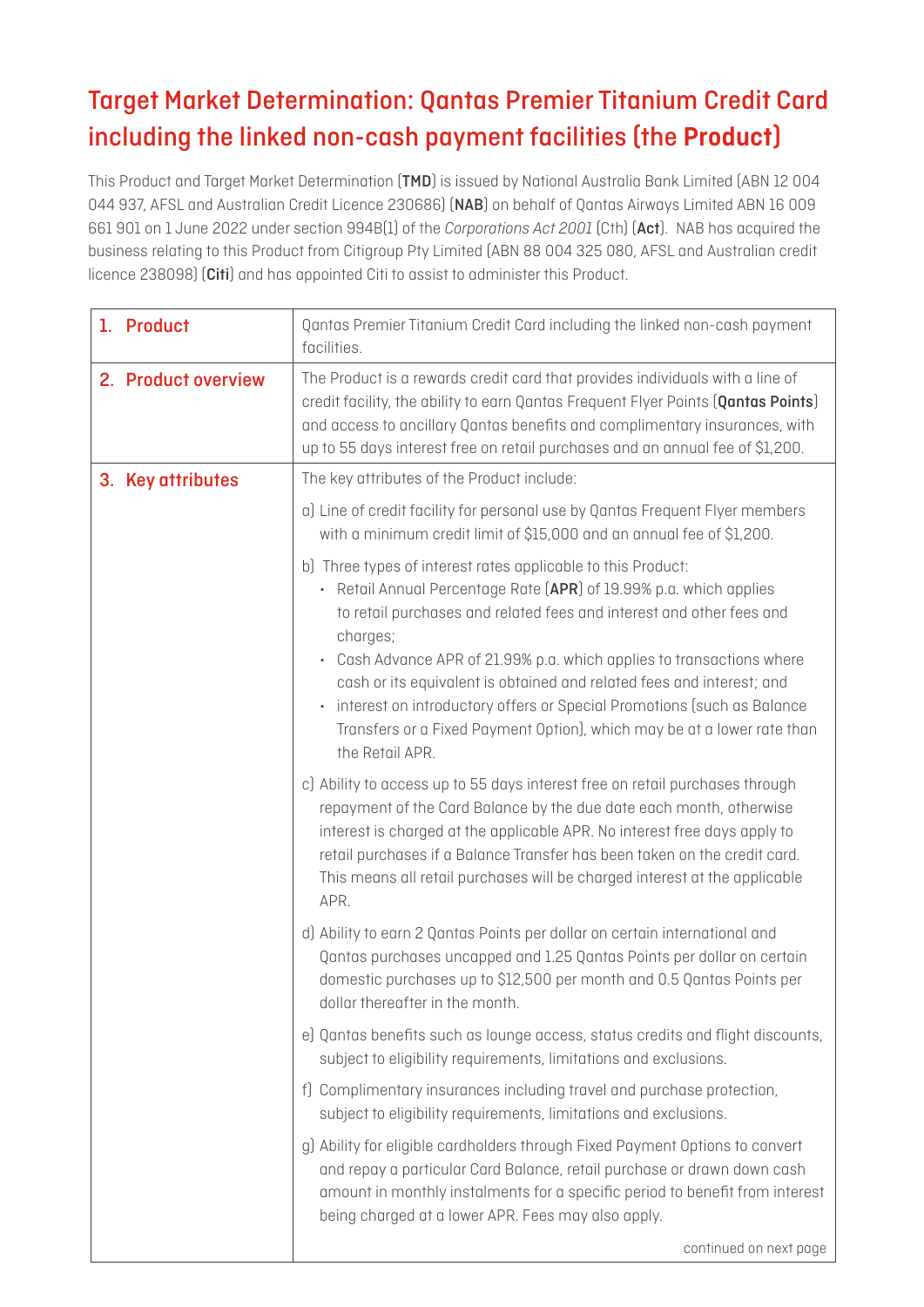## Target Market Determination: Qantas Premier Titanium Credit Card including the linked non-cash payment facilities (the **Product**)

This Product and Target Market Determination (TMD) is issued by National Australia Bank Limited (ABN 12 004 044 937, AFSL and Australian Credit Licence 230686) (NAB) on behalf of Qantas Airways Limited ABN 16 009 661 901 on 1 June 2022 under section 994B(1) of the *Corporations Act 2001* (Cth) (Act). NAB has acquired the business relating to this Product from Citigroup Pty Limited (ABN 88 004 325 080, AFSL and Australian credit licence 238098) (Citi) and has appointed Citi to assist to administer this Product.

| 1. Product          | Qantas Premier Titanium Credit Card including the linked non-cash payment<br>facilities.                                                                                                                                                                                                                                                                                                            |  |  |
|---------------------|-----------------------------------------------------------------------------------------------------------------------------------------------------------------------------------------------------------------------------------------------------------------------------------------------------------------------------------------------------------------------------------------------------|--|--|
| 2. Product overview | The Product is a rewards credit card that provides individuals with a line of<br>credit facility, the ability to earn Qantas Frequent Flyer Points (Qantas Points)<br>and access to ancillary Qantas benefits and complimentary insurances, with<br>up to 55 days interest free on retail purchases and an annual fee of \$1,200.                                                                   |  |  |
| 3. Key attributes   | The key attributes of the Product include:                                                                                                                                                                                                                                                                                                                                                          |  |  |
|                     | a) Line of credit facility for personal use by Qantas Frequent Flyer members<br>with a minimum credit limit of \$15,000 and an annual fee of \$1,200.                                                                                                                                                                                                                                               |  |  |
|                     | b) Three types of interest rates applicable to this Product:<br>• Retail Annual Percentage Rate (APR) of 19.99% p.a. which applies<br>to retail purchases and related fees and interest and other fees and<br>charges;                                                                                                                                                                              |  |  |
|                     | Cash Advance APR of 21.99% p.a. which applies to transactions where<br>$\bullet$<br>cash or its equivalent is obtained and related fees and interest; and<br>interest on introductory offers or Special Promotions (such as Balance<br>$\bullet$<br>Transfers or a Fixed Payment Option), which may be at a lower rate than<br>the Retail APR.                                                      |  |  |
|                     | c) Ability to access up to 55 days interest free on retail purchases through<br>repayment of the Card Balance by the due date each month, otherwise<br>interest is charged at the applicable APR. No interest free days apply to<br>retail purchases if a Balance Transfer has been taken on the credit card.<br>This means all retail purchases will be charged interest at the applicable<br>APR. |  |  |
|                     | d) Ability to earn 2 Qantas Points per dollar on certain international and<br>Qantas purchases uncapped and 1.25 Qantas Points per dollar on certain<br>domestic purchases up to \$12,500 per month and 0.5 Qantas Points per<br>dollar thereafter in the month.                                                                                                                                    |  |  |
|                     | e) Qantas benefits such as lounge access, status credits and flight discounts,<br>subject to eligibility requirements, limitations and exclusions.                                                                                                                                                                                                                                                  |  |  |
|                     | f) Complimentary insurances including travel and purchase protection,<br>subject to eligibility requirements, limitations and exclusions.                                                                                                                                                                                                                                                           |  |  |
|                     | g) Ability for eligible cardholders through Fixed Payment Options to convert<br>and repay a particular Card Balance, retail purchase or drawn down cash<br>amount in monthly instalments for a specific period to benefit from interest<br>being charged at a lower APR. Fees may also apply.                                                                                                       |  |  |
|                     | continued on next page                                                                                                                                                                                                                                                                                                                                                                              |  |  |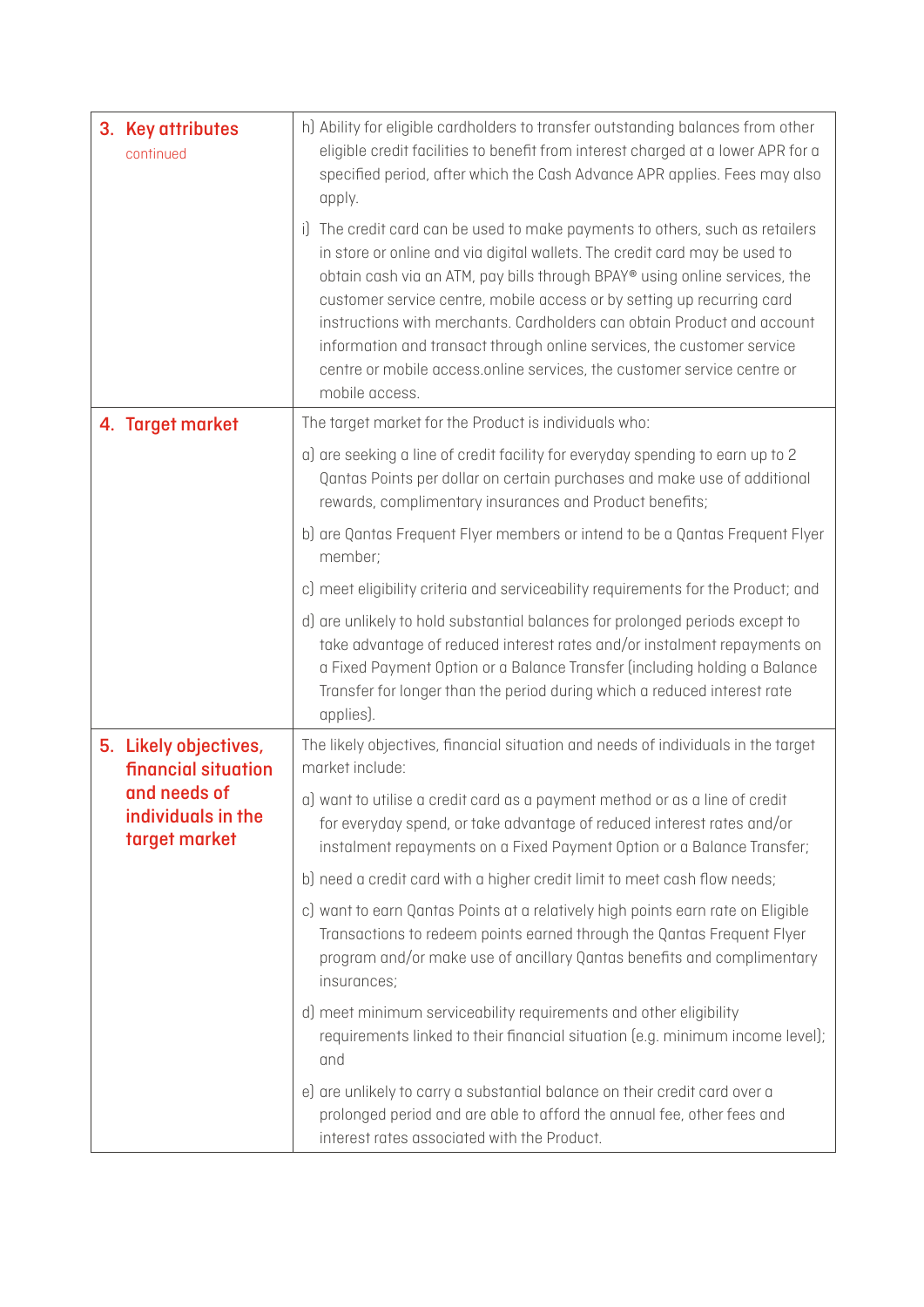| 3. Key attributes<br>continued                      | h) Ability for eligible cardholders to transfer outstanding balances from other<br>eligible credit facilities to benefit from interest charged at a lower APR for a<br>specified period, after which the Cash Advance APR applies. Fees may also<br>apply.<br>i) The credit card can be used to make payments to others, such as retailers<br>in store or online and via digital wallets. The credit card may be used to<br>obtain cash via an ATM, pay bills through BPAY® using online services, the<br>customer service centre, mobile access or by setting up recurring card<br>instructions with merchants. Cardholders can obtain Product and account<br>information and transact through online services, the customer service<br>centre or mobile access.online services, the customer service centre or<br>mobile access. |
|-----------------------------------------------------|------------------------------------------------------------------------------------------------------------------------------------------------------------------------------------------------------------------------------------------------------------------------------------------------------------------------------------------------------------------------------------------------------------------------------------------------------------------------------------------------------------------------------------------------------------------------------------------------------------------------------------------------------------------------------------------------------------------------------------------------------------------------------------------------------------------------------------|
| 4. Target market                                    | The target market for the Product is individuals who:                                                                                                                                                                                                                                                                                                                                                                                                                                                                                                                                                                                                                                                                                                                                                                              |
|                                                     | a) are seeking a line of credit facility for everyday spending to earn up to 2<br>Qantas Points per dollar on certain purchases and make use of additional<br>rewards, complimentary insurances and Product benefits;                                                                                                                                                                                                                                                                                                                                                                                                                                                                                                                                                                                                              |
|                                                     | b) are Qantas Frequent Flyer members or intend to be a Qantas Frequent Flyer<br>member;                                                                                                                                                                                                                                                                                                                                                                                                                                                                                                                                                                                                                                                                                                                                            |
|                                                     | c) meet eligibility criteria and serviceability requirements for the Product; and                                                                                                                                                                                                                                                                                                                                                                                                                                                                                                                                                                                                                                                                                                                                                  |
|                                                     | d) are unlikely to hold substantial balances for prolonged periods except to<br>take advantage of reduced interest rates and/or instalment repayments on<br>a Fixed Payment Option or a Balance Transfer (including holding a Balance<br>Transfer for longer than the period during which a reduced interest rate<br>applies).                                                                                                                                                                                                                                                                                                                                                                                                                                                                                                     |
| 5. Likely objectives,<br>financial situation        | The likely objectives, financial situation and needs of individuals in the target<br>market include:                                                                                                                                                                                                                                                                                                                                                                                                                                                                                                                                                                                                                                                                                                                               |
| and needs of<br>individuals in the<br>target market | a) want to utilise a credit card as a payment method or as a line of credit<br>for everyday spend, or take advantage of reduced interest rates and/or<br>instalment repayments on a Fixed Payment Option or a Balance Transfer;                                                                                                                                                                                                                                                                                                                                                                                                                                                                                                                                                                                                    |
|                                                     | b) need a credit card with a higher credit limit to meet cash flow needs;                                                                                                                                                                                                                                                                                                                                                                                                                                                                                                                                                                                                                                                                                                                                                          |
|                                                     | c) want to earn Qantas Points at a relatively high points earn rate on Eligible<br>Transactions to redeem points earned through the Qantas Frequent Flyer<br>program and/or make use of ancillary Qantas benefits and complimentary<br>insurances;                                                                                                                                                                                                                                                                                                                                                                                                                                                                                                                                                                                 |
|                                                     | d) meet minimum serviceability requirements and other eligibility<br>requirements linked to their financial situation (e.g. minimum income level);<br>and                                                                                                                                                                                                                                                                                                                                                                                                                                                                                                                                                                                                                                                                          |
|                                                     | e) are unlikely to carry a substantial balance on their credit card over a<br>prolonged period and are able to afford the annual fee, other fees and<br>interest rates associated with the Product.                                                                                                                                                                                                                                                                                                                                                                                                                                                                                                                                                                                                                                |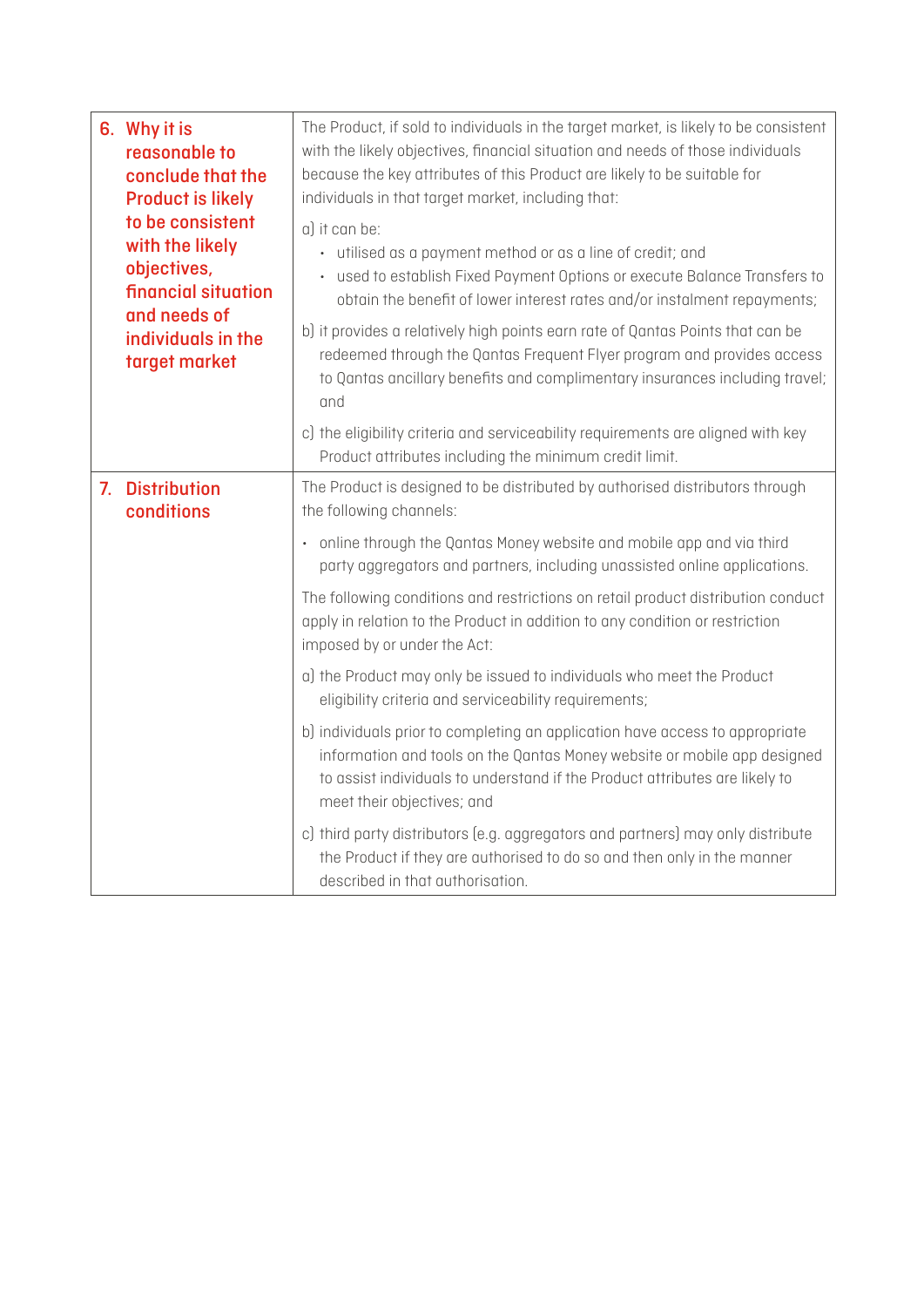|    | 6. Why it is<br>reasonable to<br>conclude that the<br><b>Product is likely</b><br>to be consistent<br>with the likely<br>objectives,<br>financial situation<br>and needs of<br>individuals in the<br>target market | The Product, if sold to individuals in the target market, is likely to be consistent<br>with the likely objectives, financial situation and needs of those individuals<br>because the key attributes of this Product are likely to be suitable for<br>individuals in that target market, including that: |
|----|--------------------------------------------------------------------------------------------------------------------------------------------------------------------------------------------------------------------|----------------------------------------------------------------------------------------------------------------------------------------------------------------------------------------------------------------------------------------------------------------------------------------------------------|
|    |                                                                                                                                                                                                                    | a) it can be:<br>· utilised as a payment method or as a line of credit; and<br>used to establish Fixed Payment Options or execute Balance Transfers to<br>obtain the benefit of lower interest rates and/or instalment repayments;                                                                       |
|    |                                                                                                                                                                                                                    | b) it provides a relatively high points earn rate of Qantas Points that can be<br>redeemed through the Qantas Frequent Flyer program and provides access<br>to Qantas ancillary benefits and complimentary insurances including travel;<br>and                                                           |
|    |                                                                                                                                                                                                                    | c) the eligibility criteria and serviceability requirements are aligned with key<br>Product attributes including the minimum credit limit.                                                                                                                                                               |
| 7. | <b>Distribution</b><br>conditions                                                                                                                                                                                  | The Product is designed to be distributed by authorised distributors through<br>the following channels:                                                                                                                                                                                                  |
|    |                                                                                                                                                                                                                    | • online through the Qantas Money website and mobile app and via third<br>party aggregators and partners, including unassisted online applications.                                                                                                                                                      |
|    |                                                                                                                                                                                                                    | The following conditions and restrictions on retail product distribution conduct<br>apply in relation to the Product in addition to any condition or restriction<br>imposed by or under the Act:                                                                                                         |
|    |                                                                                                                                                                                                                    | a) the Product may only be issued to individuals who meet the Product<br>eligibility criteria and serviceability requirements;                                                                                                                                                                           |
|    |                                                                                                                                                                                                                    | b) individuals prior to completing an application have access to appropriate<br>information and tools on the Qantas Money website or mobile app designed<br>to assist individuals to understand if the Product attributes are likely to<br>meet their objectives; and                                    |
|    |                                                                                                                                                                                                                    | c) third party distributors (e.g. aggregators and partners) may only distribute<br>the Product if they are authorised to do so and then only in the manner<br>described in that authorisation.                                                                                                           |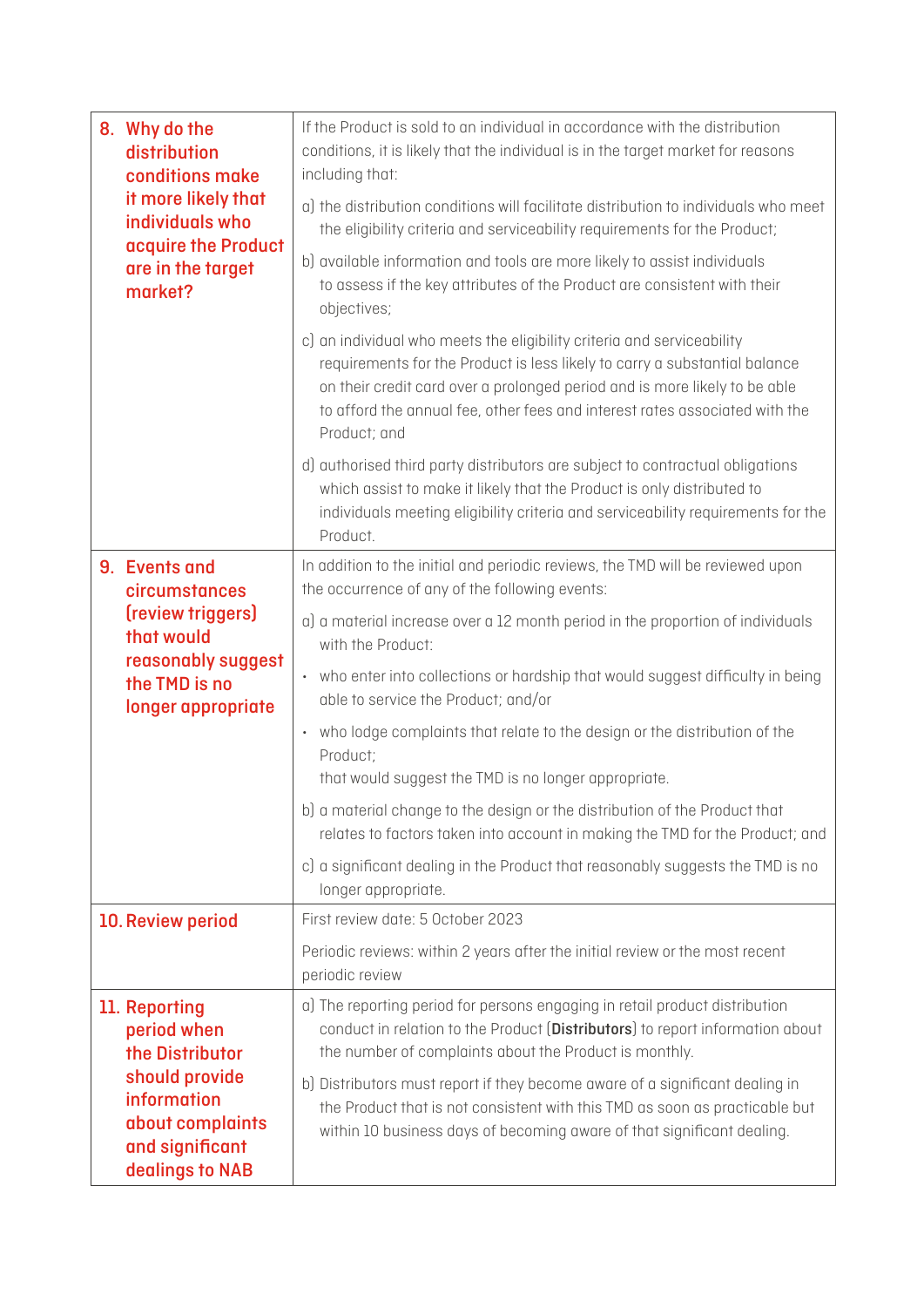|  | 8. Why do the<br>distribution<br>conditions make<br>it more likely that<br>individuals who<br>acquire the Product<br>are in the target<br>market? | If the Product is sold to an individual in accordance with the distribution<br>conditions, it is likely that the individual is in the target market for reasons<br>including that:                                                                                                                                                |
|--|---------------------------------------------------------------------------------------------------------------------------------------------------|-----------------------------------------------------------------------------------------------------------------------------------------------------------------------------------------------------------------------------------------------------------------------------------------------------------------------------------|
|  |                                                                                                                                                   | a) the distribution conditions will facilitate distribution to individuals who meet<br>the eligibility criteria and serviceability requirements for the Product;                                                                                                                                                                  |
|  |                                                                                                                                                   | b) available information and tools are more likely to assist individuals<br>to assess if the key attributes of the Product are consistent with their<br>objectives;                                                                                                                                                               |
|  |                                                                                                                                                   | c) an individual who meets the eligibility criteria and serviceability<br>requirements for the Product is less likely to carry a substantial balance<br>on their credit card over a prolonged period and is more likely to be able<br>to afford the annual fee, other fees and interest rates associated with the<br>Product; and |
|  |                                                                                                                                                   | d) authorised third party distributors are subject to contractual obligations<br>which assist to make it likely that the Product is only distributed to<br>individuals meeting eligibility criteria and serviceability requirements for the<br>Product.                                                                           |
|  | 9. Events and<br>circumstances<br>(review triggers)<br>that would<br>reasonably suggest<br>the TMD is no<br>longer appropriate                    | In addition to the initial and periodic reviews, the TMD will be reviewed upon<br>the occurrence of any of the following events:                                                                                                                                                                                                  |
|  |                                                                                                                                                   | a) a material increase over a 12 month period in the proportion of individuals<br>with the Product:                                                                                                                                                                                                                               |
|  |                                                                                                                                                   | who enter into collections or hardship that would suggest difficulty in being<br>$\bullet$<br>able to service the Product; and/or                                                                                                                                                                                                 |
|  |                                                                                                                                                   | who lodge complaints that relate to the design or the distribution of the<br>$\bullet$<br>Product;                                                                                                                                                                                                                                |
|  |                                                                                                                                                   | that would suggest the TMD is no longer appropriate.                                                                                                                                                                                                                                                                              |
|  |                                                                                                                                                   | b) a material change to the design or the distribution of the Product that<br>relates to factors taken into account in making the TMD for the Product; and                                                                                                                                                                        |
|  |                                                                                                                                                   | c) a significant dealing in the Product that reasonably suggests the TMD is no<br>longer appropriate.                                                                                                                                                                                                                             |
|  | 10. Review period                                                                                                                                 | First review date: 5 October 2023                                                                                                                                                                                                                                                                                                 |
|  |                                                                                                                                                   | Periodic reviews: within 2 years after the initial review or the most recent<br>periodic review                                                                                                                                                                                                                                   |
|  | 11. Reporting<br>period when<br>the Distributor                                                                                                   | a) The reporting period for persons engaging in retail product distribution<br>conduct in relation to the Product (Distributors) to report information about<br>the number of complaints about the Product is monthly.                                                                                                            |
|  | should provide<br>information<br>about complaints<br>and significant<br>dealings to NAB                                                           | b) Distributors must report if they become aware of a significant dealing in<br>the Product that is not consistent with this TMD as soon as practicable but<br>within 10 business days of becoming aware of that significant dealing.                                                                                             |